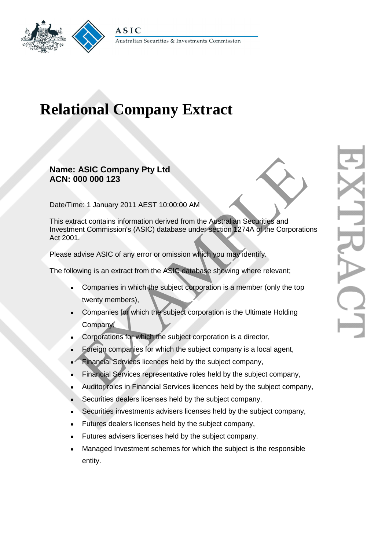

## **Relational Company Extract**

## **Name: ASIC Company Pty Ltd ACN: 000 000 123**

Date/Time: 1 January 2011 AEST 10:00:00 AM

This extract contains information derived from the Australian Securities and Investment Commission's (ASIC) database under section 1274A of the Corporations Act 2001. ASIC Company Pty Ltd<br>
The: 1 January 2011 AEST 10:00:00 AM<br>
Tract contains information derived from the Australian Securities and<br>
1.<br>
Advise ASIC of any error or omission which you may identify.<br>
1.<br>
Advise ASIC of any er

Please advise ASIC of any error or omission which you may identify.

The following is an extract from the ASIC database showing where relevant;

- Companies in which the subject corporation is a member (only the top twenty members),
- Companies for which the subject corporation is the Ultimate Holding Company,
- Corporations for which the subject corporation is a director,
- Foreign companies for which the subject company is a local agent,
- Financial Services licences held by the subject company,
- Financial Services representative roles held by the subject company,
- Auditor roles in Financial Services licences held by the subject company,
- Securities dealers licenses held by the subject company,
- Securities investments advisers licenses held by the subject company,
- Futures dealers licenses held by the subject company,
- Futures advisers licenses held by the subject company.
- Managed Investment schemes for which the subject is the responsible entity.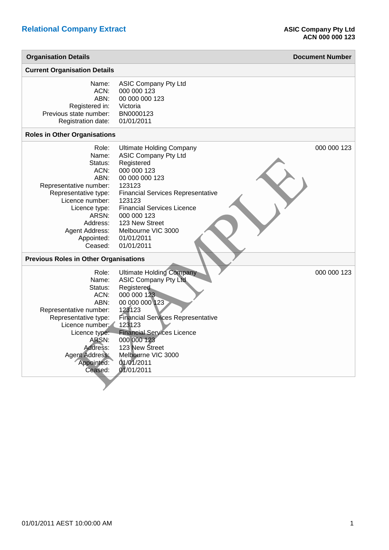| <b>Organisation Details</b>                                                                                                                                                                            |                                                                                                                                                                                                                                                                                                       | <b>Document Number</b> |
|--------------------------------------------------------------------------------------------------------------------------------------------------------------------------------------------------------|-------------------------------------------------------------------------------------------------------------------------------------------------------------------------------------------------------------------------------------------------------------------------------------------------------|------------------------|
| <b>Current Organisation Details</b>                                                                                                                                                                    |                                                                                                                                                                                                                                                                                                       |                        |
| Name:<br>ACN:<br>ABN:<br>Registered in:<br>Previous state number:<br>Registration date:                                                                                                                | <b>ASIC Company Pty Ltd</b><br>000 000 123<br>00 000 000 123<br>Victoria<br>BN0000123<br>01/01/2011                                                                                                                                                                                                   |                        |
| <b>Roles in Other Organisations</b>                                                                                                                                                                    |                                                                                                                                                                                                                                                                                                       |                        |
| Role:<br>Name:<br>Status:<br>ACN:<br>ABN:<br>Representative number:<br>Representative type:<br>Licence number:<br>Licence type:<br>ARSN:<br>Address:<br>Agent Address:<br>Appointed:<br>Ceased:        | <b>Ultimate Holding Company</b><br><b>ASIC Company Pty Ltd</b><br>Registered<br>000 000 123<br>00 000 000 123<br>123123<br><b>Financial Services Representative</b><br>123123<br><b>Financial Services Licence</b><br>000 000 123<br>123 New Street<br>Melbourne VIC 3000<br>01/01/2011<br>01/01/2011 | 000 000 123            |
| <b>Previous Roles in Other Organisations</b>                                                                                                                                                           |                                                                                                                                                                                                                                                                                                       |                        |
| Role:<br>Name:<br>Status:<br>ACN:<br>ABN:<br>Representative number:<br>Representative type:<br>Licence number:<br>Licence type:<br>ARSN:<br>Address:<br><b>Agent Address:</b><br>Appointed:<br>Ceased: | <b>Ultimate Holding Company</b><br><b>ASIC Company Pty Ltd</b><br>Registered<br>000 000 123<br>00 000 000 123<br>123123<br><b>Financial Services Representative</b><br>123123<br><b>Financial Services Licence</b><br>000 000 123<br>123 New Street<br>Melbourne VIC 3000<br>01/01/2011<br>01/01/2011 | 000 000 123            |